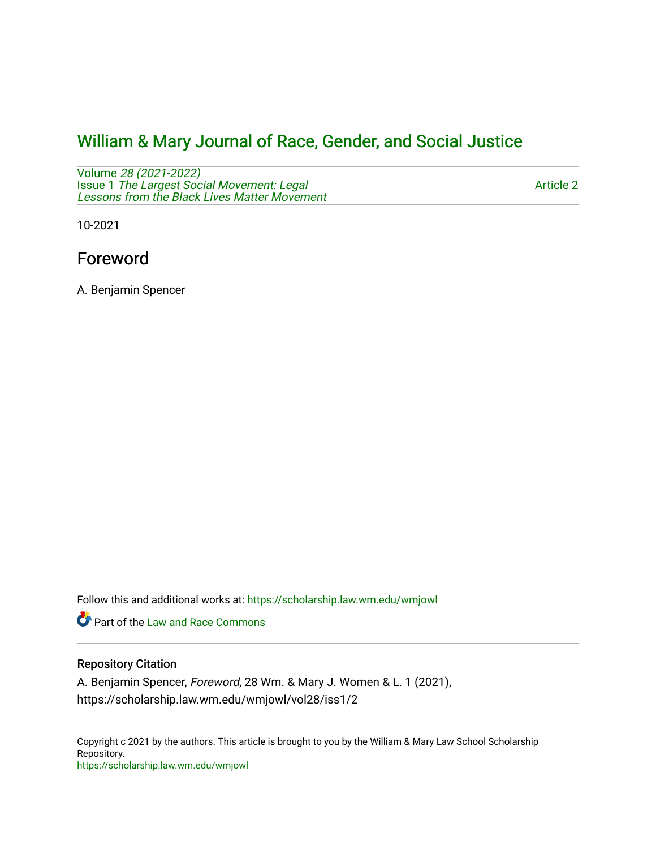# [William & Mary Journal of Race, Gender, and Social Justice](https://scholarship.law.wm.edu/wmjowl)

Volume [28 \(2021-2022\)](https://scholarship.law.wm.edu/wmjowl/vol28)  Issue 1 [The Largest Social Movement: Legal](https://scholarship.law.wm.edu/wmjowl/vol28/iss1) [Lessons from the Black Lives Matter Movement](https://scholarship.law.wm.edu/wmjowl/vol28/iss1) 

[Article 2](https://scholarship.law.wm.edu/wmjowl/vol28/iss1/2) 

10-2021

## Foreword

A. Benjamin Spencer

Follow this and additional works at: [https://scholarship.law.wm.edu/wmjowl](https://scholarship.law.wm.edu/wmjowl?utm_source=scholarship.law.wm.edu%2Fwmjowl%2Fvol28%2Fiss1%2F2&utm_medium=PDF&utm_campaign=PDFCoverPages) 

**P** Part of the Law and Race Commons

### Repository Citation

A. Benjamin Spencer, Foreword, 28 Wm. & Mary J. Women & L. 1 (2021), https://scholarship.law.wm.edu/wmjowl/vol28/iss1/2

Copyright c 2021 by the authors. This article is brought to you by the William & Mary Law School Scholarship Repository. <https://scholarship.law.wm.edu/wmjowl>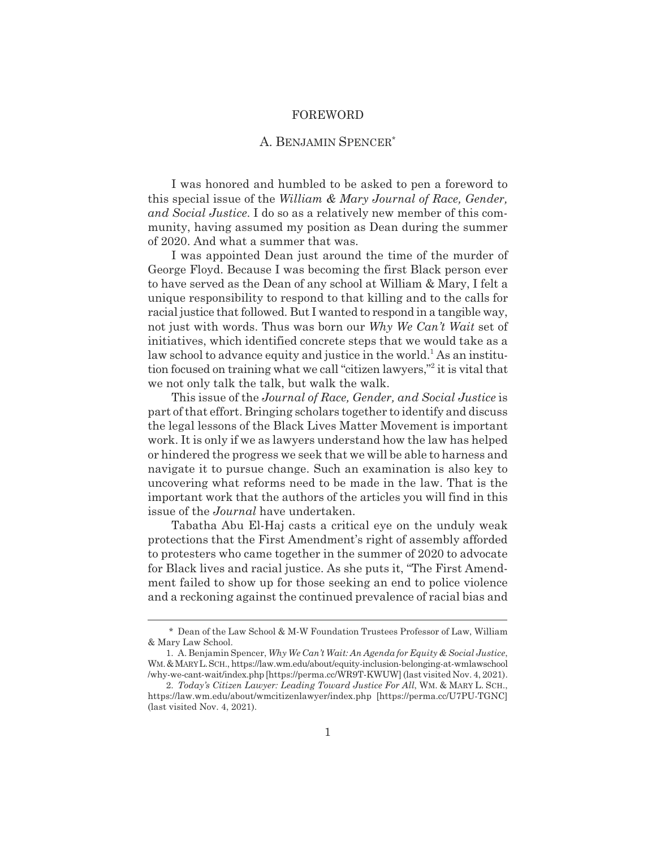#### FOREWORD

### A. BENJAMIN SPENCER\*

I was honored and humbled to be asked to pen a foreword to this special issue of the *William & Mary Journal of Race, Gender, and Social Justice*. I do so as a relatively new member of this community, having assumed my position as Dean during the summer of 2020. And what a summer that was.

I was appointed Dean just around the time of the murder of George Floyd. Because I was becoming the first Black person ever to have served as the Dean of any school at William & Mary, I felt a unique responsibility to respond to that killing and to the calls for racial justice that followed. But I wanted to respond in a tangible way, not just with words. Thus was born our *Why We Can't Wait* set of initiatives, which identified concrete steps that we would take as a law school to advance equity and justice in the world.<sup>1</sup> As an institution focused on training what we call "citizen lawyers,"<sup>2</sup> it is vital that we not only talk the talk, but walk the walk.

This issue of the *Journal of Race, Gender, and Social Justice* is part of that effort. Bringing scholars together to identify and discuss the legal lessons of the Black Lives Matter Movement is important work. It is only if we as lawyers understand how the law has helped or hindered the progress we seek that we will be able to harness and navigate it to pursue change. Such an examination is also key to uncovering what reforms need to be made in the law. That is the important work that the authors of the articles you will find in this issue of the *Journal* have undertaken.

Tabatha Abu El-Haj casts a critical eye on the unduly weak protections that the First Amendment's right of assembly afforded to protesters who came together in the summer of 2020 to advocate for Black lives and racial justice. As she puts it, "The First Amendment failed to show up for those seeking an end to police violence and a reckoning against the continued prevalence of racial bias and

<sup>\*</sup> Dean of the Law School & M-W Foundation Trustees Professor of Law, William & Mary Law School.

<sup>1.</sup> A. Benjamin Spencer, *Why We Can't Wait: An Agenda for Equity & Social Justice*, WM.&MARYL.SCH., https://law.wm.edu/about/equity-inclusion-belonging-at-wmlawschool /why-we-cant-wait/index.php [https://perma.cc/WR9T-KWUW] (last visited Nov. 4, 2021).

<sup>2.</sup> *Today's Citizen Lawyer: Leading Toward Justice For All*, WM. & MARY L. SCH., https://law.wm.edu/about/wmcitizenlawyer/index.php [https://perma.cc/U7PU-TGNC] (last visited Nov. 4, 2021).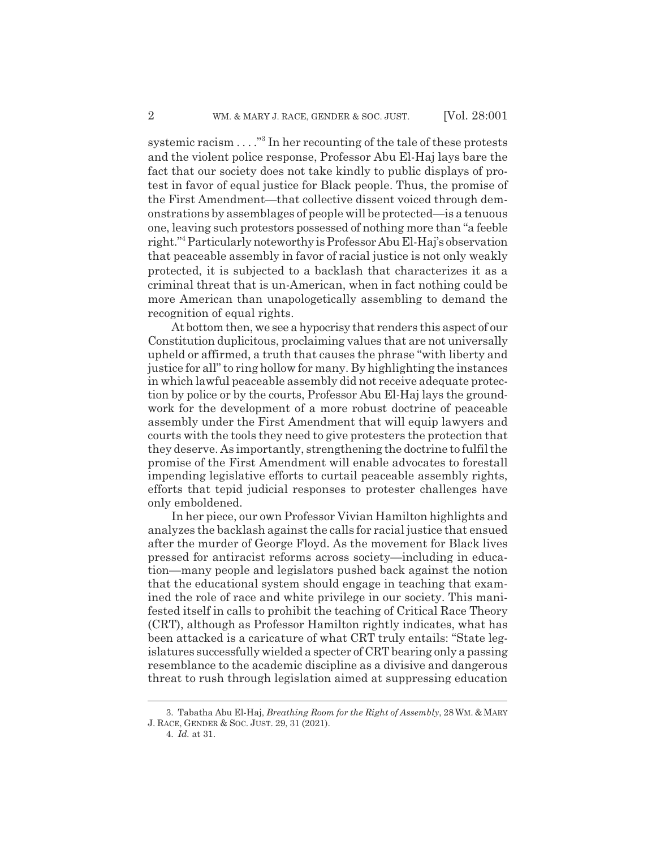systemic racism . . . . "<sup>3</sup> In her recounting of the tale of these protests and the violent police response, Professor Abu El-Haj lays bare the fact that our society does not take kindly to public displays of protest in favor of equal justice for Black people. Thus, the promise of the First Amendment—that collective dissent voiced through demonstrations by assemblages of people will be protected—is a tenuous one, leaving such protestors possessed of nothing more than "a feeble right."4 Particularly noteworthy is Professor Abu El-Haj's observation that peaceable assembly in favor of racial justice is not only weakly protected, it is subjected to a backlash that characterizes it as a criminal threat that is un-American, when in fact nothing could be more American than unapologetically assembling to demand the recognition of equal rights.

At bottom then, we see a hypocrisy that renders this aspect of our Constitution duplicitous, proclaiming values that are not universally upheld or affirmed, a truth that causes the phrase "with liberty and justice for all" to ring hollow for many. By highlighting the instances in which lawful peaceable assembly did not receive adequate protection by police or by the courts, Professor Abu El-Haj lays the groundwork for the development of a more robust doctrine of peaceable assembly under the First Amendment that will equip lawyers and courts with the tools they need to give protesters the protection that they deserve. As importantly, strengthening the doctrine to fulfil the promise of the First Amendment will enable advocates to forestall impending legislative efforts to curtail peaceable assembly rights, efforts that tepid judicial responses to protester challenges have only emboldened.

In her piece, our own Professor Vivian Hamilton highlights and analyzes the backlash against the calls for racial justice that ensued after the murder of George Floyd. As the movement for Black lives pressed for antiracist reforms across society—including in education—many people and legislators pushed back against the notion that the educational system should engage in teaching that examined the role of race and white privilege in our society. This manifested itself in calls to prohibit the teaching of Critical Race Theory (CRT), although as Professor Hamilton rightly indicates, what has been attacked is a caricature of what CRT truly entails: "State legislatures successfully wielded a specter of CRT bearing only a passing resemblance to the academic discipline as a divisive and dangerous threat to rush through legislation aimed at suppressing education

<sup>3.</sup> Tabatha Abu El-Haj, *Breathing Room for the Right of Assembly*, 28 WM. & MARY J. RACE, GENDER & SOC. JUST. 29, 31 (2021).

<sup>4.</sup> *Id.* at 31.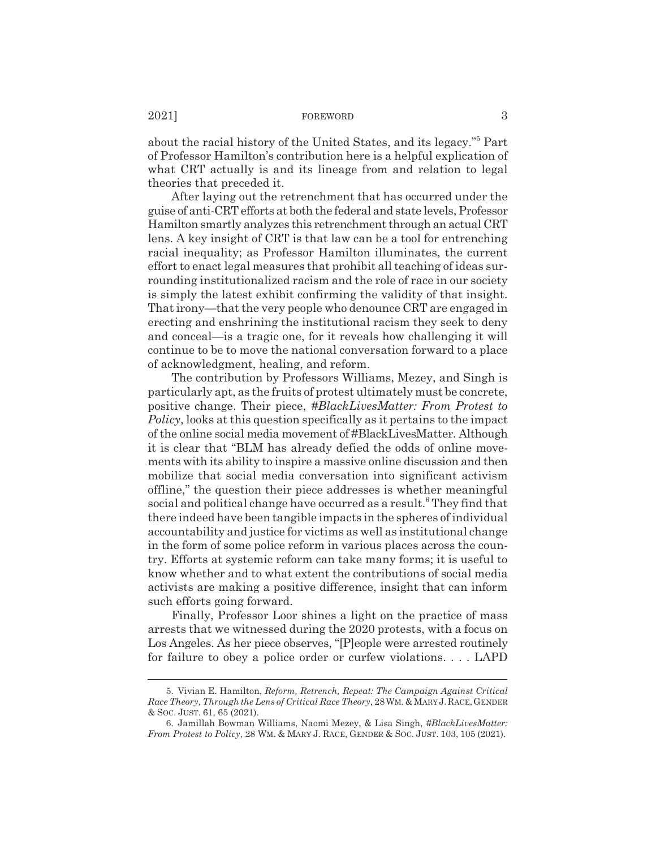about the racial history of the United States, and its legacy."<sup>5</sup> Part of Professor Hamilton's contribution here is a helpful explication of what CRT actually is and its lineage from and relation to legal theories that preceded it.

After laying out the retrenchment that has occurred under the guise of anti-CRT efforts at both the federal and state levels, Professor Hamilton smartly analyzes this retrenchment through an actual CRT lens. A key insight of CRT is that law can be a tool for entrenching racial inequality; as Professor Hamilton illuminates, the current effort to enact legal measures that prohibit all teaching of ideas surrounding institutionalized racism and the role of race in our society is simply the latest exhibit confirming the validity of that insight. That irony—that the very people who denounce CRT are engaged in erecting and enshrining the institutional racism they seek to deny and conceal—is a tragic one, for it reveals how challenging it will continue to be to move the national conversation forward to a place of acknowledgment, healing, and reform.

The contribution by Professors Williams, Mezey, and Singh is particularly apt, as the fruits of protest ultimately must be concrete, positive change. Their piece, *#BlackLivesMatter: From Protest to Policy*, looks at this question specifically as it pertains to the impact of the online social media movement of #BlackLivesMatter. Although it is clear that "BLM has already defied the odds of online movements with its ability to inspire a massive online discussion and then mobilize that social media conversation into significant activism offline," the question their piece addresses is whether meaningful social and political change have occurred as a result.<sup>6</sup> They find that there indeed have been tangible impacts in the spheres of individual accountability and justice for victims as well as institutional change in the form of some police reform in various places across the country. Efforts at systemic reform can take many forms; it is useful to know whether and to what extent the contributions of social media activists are making a positive difference, insight that can inform such efforts going forward.

Finally, Professor Loor shines a light on the practice of mass arrests that we witnessed during the 2020 protests, with a focus on Los Angeles. As her piece observes, "[P]eople were arrested routinely for failure to obey a police order or curfew violations. . . . LAPD

<sup>5.</sup> Vivian E. Hamilton, *Reform, Retrench, Repeat: The Campaign Against Critical Race Theory, Through the Lens of Critical Race Theory*, 28WM.&MARY J.RACE,GENDER & SOC. JUST. 61, 65 (2021).

<sup>6.</sup> Jamillah Bowman Williams, Naomi Mezey, & Lisa Singh, *#BlackLivesMatter: From Protest to Policy*, 28 WM.&MARY J. RACE, GENDER & SOC. JUST. 103, 105 (2021).